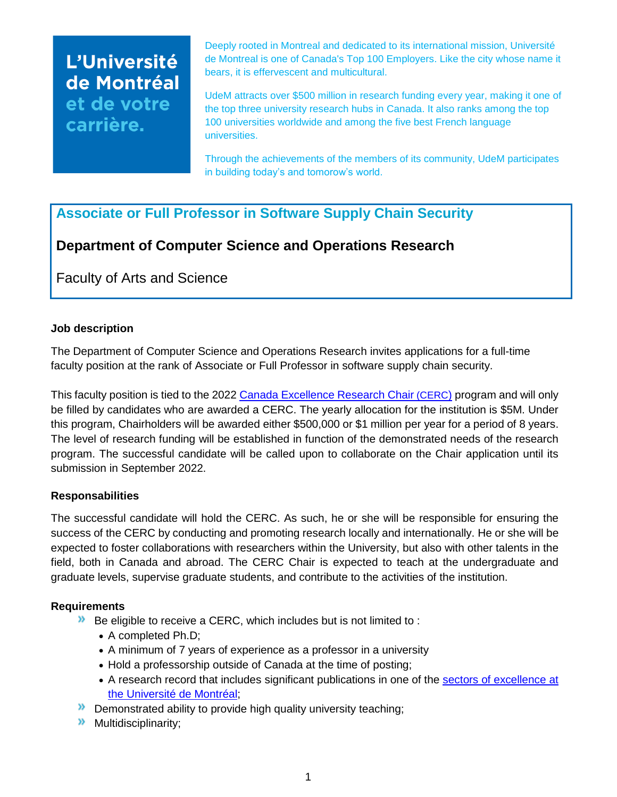# L'Université de Montréal et de votre carrière.

Deeply rooted in Montreal and dedicated to its international mission, Université de Montreal is one of Canada's Top 100 Employers. Like the city whose name it bears, it is effervescent and multicultural.

UdeM attracts over \$500 million in research funding every year, making it one of the top three university research hubs in Canada. It also ranks among the top 100 universities worldwide and among the five best French language universities.

Through the achievements of the members of its community, UdeM participates in building today's and tomorow's world.

# **Associate or Full Professor in Software Supply Chain Security**

# **Department of Computer Science and Operations Research**

Faculty of Arts and Science

## **Job description**

The Department of Computer Science and Operations Research invites applications for a full-time faculty position at the rank of Associate or Full Professor in software supply chain security.

This faculty position is tied to the 2022 [Canada Excellence](https://www.cerc.gc.ca/home-accueil-eng.aspx) Research Chair (CERC) program and will only be filled by candidates who are awarded a CERC. The yearly allocation for the institution is \$5M. Under this program, Chairholders will be awarded either \$500,000 or \$1 million per year for a period of 8 years. The level of research funding will be established in function of the demonstrated needs of the research program. The successful candidate will be called upon to collaborate on the Chair application until its submission in September 2022.

## **Responsabilities**

The successful candidate will hold the CERC. As such, he or she will be responsible for ensuring the success of the CERC by conducting and promoting research locally and internationally. He or she will be expected to foster collaborations with researchers within the University, but also with other talents in the field, both in Canada and abroad. The CERC Chair is expected to teach at the undergraduate and graduate levels, supervise graduate students, and contribute to the activities of the institution.

## **Requirements**

- $\lambda$  Be eligible to receive a CERC, which includes but is not limited to :
	- A completed Ph.D;
	- A minimum of 7 years of experience as a professor in a university
	- Hold a professorship outside of Canada at the time of posting;
	- A research record that includes significant publications in one of the [sectors of excellence at](https://recherche.umontreal.ca/fileadmin/recherche/documents/user_upload_ancien/La_recherche_a_UdeM/Fichiers/FIN-Plan_ACTION-VRRDCI-FR_2022_2027.pdf)  [the Université de Montréal;](https://recherche.umontreal.ca/fileadmin/recherche/documents/user_upload_ancien/La_recherche_a_UdeM/Fichiers/FIN-Plan_ACTION-VRRDCI-FR_2022_2027.pdf)
- **Demonstrated ability to provide high quality university teaching;**
- $\lambda$  Multidisciplinarity;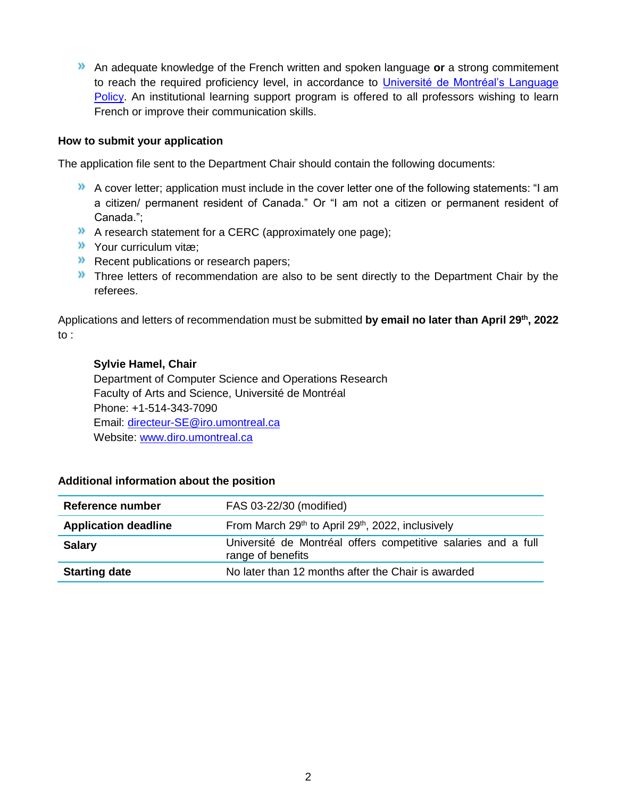An adequate knowledge of the French written and spoken language **or** a strong commitement to reach the required proficiency level, in accordance to Université de Montréal's Language [Policy.](https://francais.umontreal.ca/politique-linguistique/la-politique-linguistique-en-bref/) An institutional learning support program is offered to all professors wishing to learn French or improve their communication skills.

#### **How to submit your application**

The application file sent to the Department Chair should contain the following documents:

- $\lambda$  A cover letter; application must include in the cover letter one of the following statements: "I am a citizen/ permanent resident of Canada." Or "I am not a citizen or permanent resident of Canada.";
- A research statement for a CERC (approximately one page);
- Your curriculum vitæ;
- Recent publications or research papers;
- **X** Three letters of recommendation are also to be sent directly to the Department Chair by the referees.

Applications and letters of recommendation must be submitted **by email no later than April 29th, 2022**  to :

#### **Sylvie Hamel, Chair**

Department of Computer Science and Operations Research Faculty of Arts and Science, Université de Montréal Phone: +1-514-343-7090 Email: [directeur-SE@iro.umontreal.ca](mailto:directeur-SE@iro.umontreal.ca) Website: [www.diro.umontreal.ca](http://www.diro.umontreal.ca/)

#### **Additional information about the position**

| Reference number            | FAS 03-22/30 (modified)                                                            |
|-----------------------------|------------------------------------------------------------------------------------|
| <b>Application deadline</b> | From March 29th to April 29th, 2022, inclusively                                   |
| <b>Salary</b>               | Université de Montréal offers competitive salaries and a full<br>range of benefits |
| <b>Starting date</b>        | No later than 12 months after the Chair is awarded                                 |